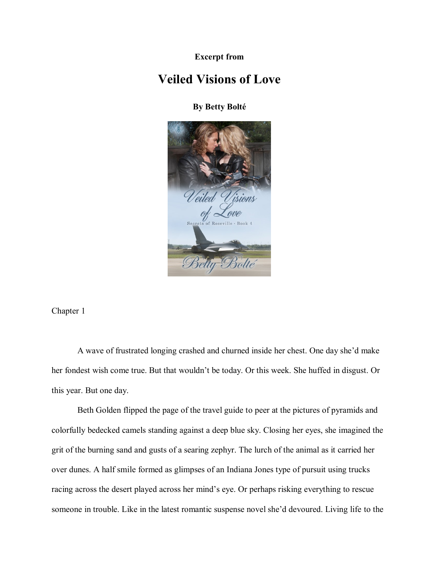**Excerpt from**

## **Veiled Visions of Love**

**By Betty Bolté**



Chapter 1

A wave of frustrated longing crashed and churned inside her chest. One day she'd make her fondest wish come true. But that wouldn't be today. Or this week. She huffed in disgust. Or this year. But one day.

Beth Golden flipped the page of the travel guide to peer at the pictures of pyramids and colorfully bedecked camels standing against a deep blue sky. Closing her eyes, she imagined the grit of the burning sand and gusts of a searing zephyr. The lurch of the animal as it carried her over dunes. A half smile formed as glimpses of an Indiana Jones type of pursuit using trucks racing across the desert played across her mind's eye. Or perhaps risking everything to rescue someone in trouble. Like in the latest romantic suspense novel she'd devoured. Living life to the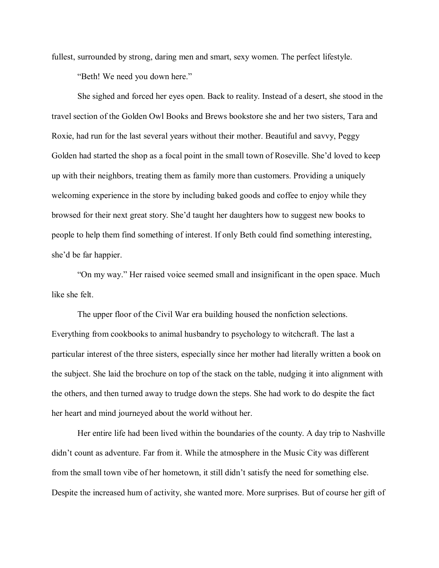fullest, surrounded by strong, daring men and smart, sexy women. The perfect lifestyle.

"Beth! We need you down here."

She sighed and forced her eyes open. Back to reality. Instead of a desert, she stood in the travel section of the Golden Owl Books and Brews bookstore she and her two sisters, Tara and Roxie, had run for the last several years without their mother. Beautiful and savvy, Peggy Golden had started the shop as a focal point in the small town of Roseville. She'd loved to keep up with their neighbors, treating them as family more than customers. Providing a uniquely welcoming experience in the store by including baked goods and coffee to enjoy while they browsed for their next great story. She'd taught her daughters how to suggest new books to people to help them find something of interest. If only Beth could find something interesting, she'd be far happier.

"On my way." Her raised voice seemed small and insignificant in the open space. Much like she felt.

The upper floor of the Civil War era building housed the nonfiction selections. Everything from cookbooks to animal husbandry to psychology to witchcraft. The last a particular interest of the three sisters, especially since her mother had literally written a book on the subject. She laid the brochure on top of the stack on the table, nudging it into alignment with the others, and then turned away to trudge down the steps. She had work to do despite the fact her heart and mind journeyed about the world without her.

Her entire life had been lived within the boundaries of the county. A day trip to Nashville didn't count as adventure. Far from it. While the atmosphere in the Music City was different from the small town vibe of her hometown, it still didn't satisfy the need for something else. Despite the increased hum of activity, she wanted more. More surprises. But of course her gift of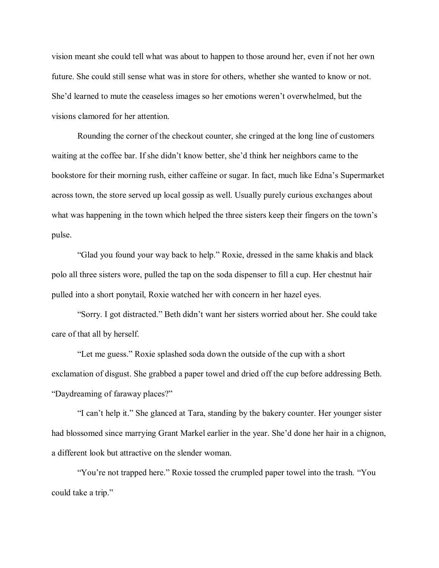vision meant she could tell what was about to happen to those around her, even if not her own future. She could still sense what was in store for others, whether she wanted to know or not. She'd learned to mute the ceaseless images so her emotions weren't overwhelmed, but the visions clamored for her attention.

Rounding the corner of the checkout counter, she cringed at the long line of customers waiting at the coffee bar. If she didn't know better, she'd think her neighbors came to the bookstore for their morning rush, either caffeine or sugar. In fact, much like Edna's Supermarket across town, the store served up local gossip as well. Usually purely curious exchanges about what was happening in the town which helped the three sisters keep their fingers on the town's pulse.

"Glad you found your way back to help." Roxie, dressed in the same khakis and black polo all three sisters wore, pulled the tap on the soda dispenser to fill a cup. Her chestnut hair pulled into a short ponytail, Roxie watched her with concern in her hazel eyes.

"Sorry. I got distracted." Beth didn't want her sisters worried about her. She could take care of that all by herself.

"Let me guess." Roxie splashed soda down the outside of the cup with a short exclamation of disgust. She grabbed a paper towel and dried off the cup before addressing Beth. "Daydreaming of faraway places?"

"I can't help it." She glanced at Tara, standing by the bakery counter. Her younger sister had blossomed since marrying Grant Markel earlier in the year. She'd done her hair in a chignon, a different look but attractive on the slender woman.

"You're not trapped here." Roxie tossed the crumpled paper towel into the trash. "You could take a trip."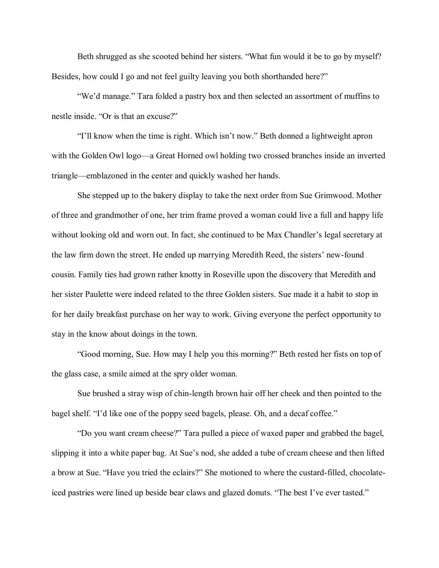Beth shrugged as she scooted behind her sisters. "What fun would it be to go by myself? Besides, how could I go and not feel guilty leaving you both shorthanded here?"

"We'd manage." Tara folded a pastry box and then selected an assortment of muffins to nestle inside. "Or is that an excuse?"

"I'll know when the time is right. Which isn't now." Beth donned a lightweight apron with the Golden Owl logo—a Great Horned owl holding two crossed branches inside an inverted triangle—emblazoned in the center and quickly washed her hands.

She stepped up to the bakery display to take the next order from Sue Grimwood. Mother of three and grandmother of one, her trim frame proved a woman could live a full and happy life without looking old and worn out. In fact, she continued to be Max Chandler's legal secretary at the law firm down the street. He ended up marrying Meredith Reed, the sisters' new-found cousin. Family ties had grown rather knotty in Roseville upon the discovery that Meredith and her sister Paulette were indeed related to the three Golden sisters. Sue made it a habit to stop in for her daily breakfast purchase on her way to work. Giving everyone the perfect opportunity to stay in the know about doings in the town.

"Good morning, Sue. How may I help you this morning?" Beth rested her fists on top of the glass case, a smile aimed at the spry older woman.

Sue brushed a stray wisp of chin-length brown hair off her cheek and then pointed to the bagel shelf. "I'd like one of the poppy seed bagels, please. Oh, and a decaf coffee."

"Do you want cream cheese?" Tara pulled a piece of waxed paper and grabbed the bagel, slipping it into a white paper bag. At Sue's nod, she added a tube of cream cheese and then lifted a brow at Sue. "Have you tried the eclairs?" She motioned to where the custard-filled, chocolateiced pastries were lined up beside bear claws and glazed donuts. "The best I've ever tasted."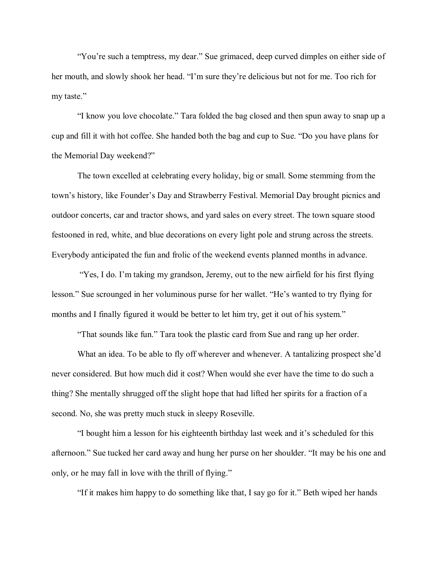"You're such a temptress, my dear." Sue grimaced, deep curved dimples on either side of her mouth, and slowly shook her head. "I'm sure they're delicious but not for me. Too rich for my taste."

"I know you love chocolate." Tara folded the bag closed and then spun away to snap up a cup and fill it with hot coffee. She handed both the bag and cup to Sue. "Do you have plans for the Memorial Day weekend?"

The town excelled at celebrating every holiday, big or small. Some stemming from the town's history, like Founder's Day and Strawberry Festival. Memorial Day brought picnics and outdoor concerts, car and tractor shows, and yard sales on every street. The town square stood festooned in red, white, and blue decorations on every light pole and strung across the streets. Everybody anticipated the fun and frolic of the weekend events planned months in advance.

"Yes, I do. I'm taking my grandson, Jeremy, out to the new airfield for his first flying lesson." Sue scrounged in her voluminous purse for her wallet. "He's wanted to try flying for months and I finally figured it would be better to let him try, get it out of his system."

"That sounds like fun." Tara took the plastic card from Sue and rang up her order.

What an idea. To be able to fly off wherever and whenever. A tantalizing prospect she'd never considered. But how much did it cost? When would she ever have the time to do such a thing? She mentally shrugged off the slight hope that had lifted her spirits for a fraction of a second. No, she was pretty much stuck in sleepy Roseville.

"I bought him a lesson for his eighteenth birthday last week and it's scheduled for this afternoon." Sue tucked her card away and hung her purse on her shoulder. "It may be his one and only, or he may fall in love with the thrill of flying."

"If it makes him happy to do something like that, I say go for it." Beth wiped her hands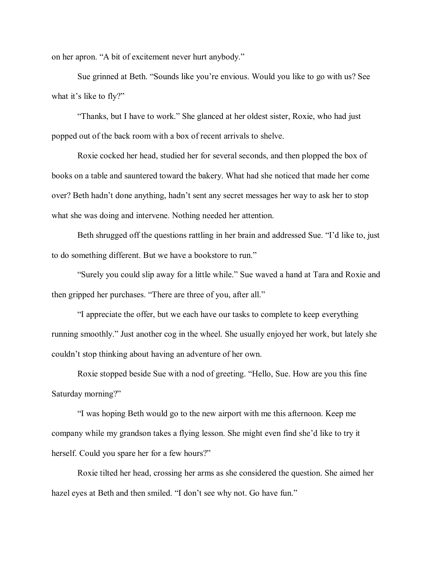on her apron. "A bit of excitement never hurt anybody."

Sue grinned at Beth. "Sounds like you're envious. Would you like to go with us? See what it's like to fly?"

"Thanks, but I have to work." She glanced at her oldest sister, Roxie, who had just popped out of the back room with a box of recent arrivals to shelve.

Roxie cocked her head, studied her for several seconds, and then plopped the box of books on a table and sauntered toward the bakery. What had she noticed that made her come over? Beth hadn't done anything, hadn't sent any secret messages her way to ask her to stop what she was doing and intervene. Nothing needed her attention.

Beth shrugged off the questions rattling in her brain and addressed Sue. "I'd like to, just to do something different. But we have a bookstore to run."

"Surely you could slip away for a little while." Sue waved a hand at Tara and Roxie and then gripped her purchases. "There are three of you, after all."

"I appreciate the offer, but we each have our tasks to complete to keep everything running smoothly." Just another cog in the wheel. She usually enjoyed her work, but lately she couldn't stop thinking about having an adventure of her own.

Roxie stopped beside Sue with a nod of greeting. "Hello, Sue. How are you this fine Saturday morning?"

"I was hoping Beth would go to the new airport with me this afternoon. Keep me company while my grandson takes a flying lesson. She might even find she'd like to try it herself. Could you spare her for a few hours?"

Roxie tilted her head, crossing her arms as she considered the question. She aimed her hazel eyes at Beth and then smiled. "I don't see why not. Go have fun."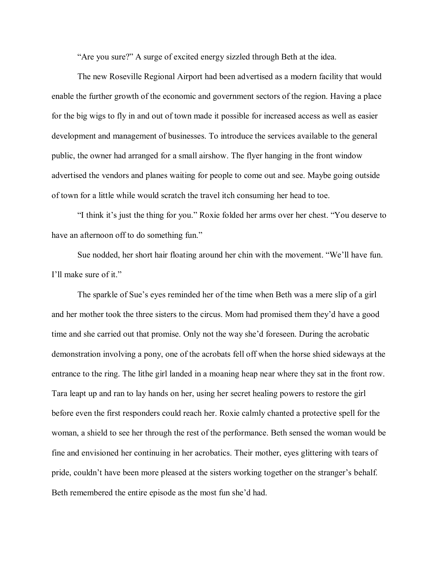"Are you sure?" A surge of excited energy sizzled through Beth at the idea.

The new Roseville Regional Airport had been advertised as a modern facility that would enable the further growth of the economic and government sectors of the region. Having a place for the big wigs to fly in and out of town made it possible for increased access as well as easier development and management of businesses. To introduce the services available to the general public, the owner had arranged for a small airshow. The flyer hanging in the front window advertised the vendors and planes waiting for people to come out and see. Maybe going outside of town for a little while would scratch the travel itch consuming her head to toe.

"I think it's just the thing for you." Roxie folded her arms over her chest. "You deserve to have an afternoon off to do something fun."

Sue nodded, her short hair floating around her chin with the movement. "We'll have fun. I'll make sure of it."

The sparkle of Sue's eyes reminded her of the time when Beth was a mere slip of a girl and her mother took the three sisters to the circus. Mom had promised them they'd have a good time and she carried out that promise. Only not the way she'd foreseen. During the acrobatic demonstration involving a pony, one of the acrobats fell off when the horse shied sideways at the entrance to the ring. The lithe girl landed in a moaning heap near where they sat in the front row. Tara leapt up and ran to lay hands on her, using her secret healing powers to restore the girl before even the first responders could reach her. Roxie calmly chanted a protective spell for the woman, a shield to see her through the rest of the performance. Beth sensed the woman would be fine and envisioned her continuing in her acrobatics. Their mother, eyes glittering with tears of pride, couldn't have been more pleased at the sisters working together on the stranger's behalf. Beth remembered the entire episode as the most fun she'd had.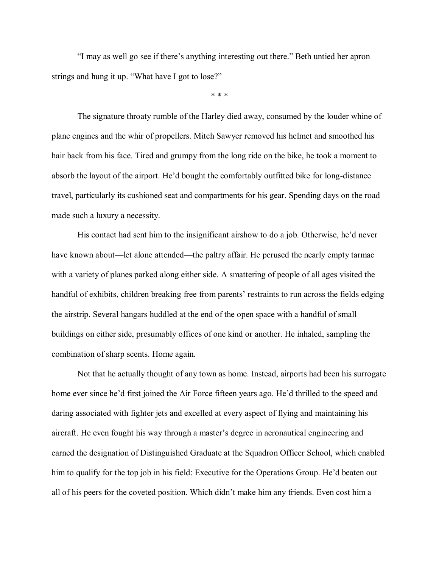"I may as well go see if there's anything interesting out there." Beth untied her apron strings and hung it up. "What have I got to lose?"

\* \* \*

The signature throaty rumble of the Harley died away, consumed by the louder whine of plane engines and the whir of propellers. Mitch Sawyer removed his helmet and smoothed his hair back from his face. Tired and grumpy from the long ride on the bike, he took a moment to absorb the layout of the airport. He'd bought the comfortably outfitted bike for long-distance travel, particularly its cushioned seat and compartments for his gear. Spending days on the road made such a luxury a necessity.

His contact had sent him to the insignificant airshow to do a job. Otherwise, he'd never have known about—let alone attended—the paltry affair. He perused the nearly empty tarmac with a variety of planes parked along either side. A smattering of people of all ages visited the handful of exhibits, children breaking free from parents' restraints to run across the fields edging the airstrip. Several hangars huddled at the end of the open space with a handful of small buildings on either side, presumably offices of one kind or another. He inhaled, sampling the combination of sharp scents. Home again.

Not that he actually thought of any town as home. Instead, airports had been his surrogate home ever since he'd first joined the Air Force fifteen years ago. He'd thrilled to the speed and daring associated with fighter jets and excelled at every aspect of flying and maintaining his aircraft. He even fought his way through a master's degree in aeronautical engineering and earned the designation of Distinguished Graduate at the Squadron Officer School, which enabled him to qualify for the top job in his field: Executive for the Operations Group. He'd beaten out all of his peers for the coveted position. Which didn't make him any friends. Even cost him a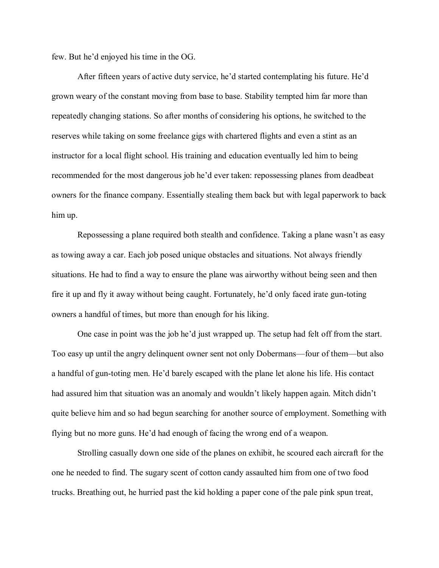few. But he'd enjoyed his time in the OG.

After fifteen years of active duty service, he'd started contemplating his future. He'd grown weary of the constant moving from base to base. Stability tempted him far more than repeatedly changing stations. So after months of considering his options, he switched to the reserves while taking on some freelance gigs with chartered flights and even a stint as an instructor for a local flight school. His training and education eventually led him to being recommended for the most dangerous job he'd ever taken: repossessing planes from deadbeat owners for the finance company. Essentially stealing them back but with legal paperwork to back him up.

Repossessing a plane required both stealth and confidence. Taking a plane wasn't as easy as towing away a car. Each job posed unique obstacles and situations. Not always friendly situations. He had to find a way to ensure the plane was airworthy without being seen and then fire it up and fly it away without being caught. Fortunately, he'd only faced irate gun-toting owners a handful of times, but more than enough for his liking.

One case in point was the job he'd just wrapped up. The setup had felt off from the start. Too easy up until the angry delinquent owner sent not only Dobermans—four of them—but also a handful of gun-toting men. He'd barely escaped with the plane let alone his life. His contact had assured him that situation was an anomaly and wouldn't likely happen again. Mitch didn't quite believe him and so had begun searching for another source of employment. Something with flying but no more guns. He'd had enough of facing the wrong end of a weapon.

Strolling casually down one side of the planes on exhibit, he scoured each aircraft for the one he needed to find. The sugary scent of cotton candy assaulted him from one of two food trucks. Breathing out, he hurried past the kid holding a paper cone of the pale pink spun treat,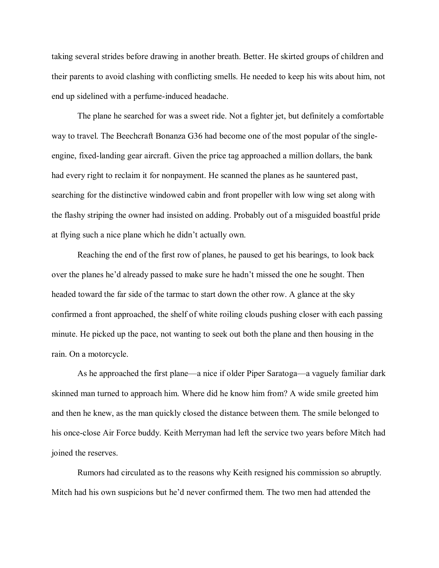taking several strides before drawing in another breath. Better. He skirted groups of children and their parents to avoid clashing with conflicting smells. He needed to keep his wits about him, not end up sidelined with a perfume-induced headache.

The plane he searched for was a sweet ride. Not a fighter jet, but definitely a comfortable way to travel. The Beechcraft Bonanza G36 had become one of the most popular of the singleengine, fixed-landing gear aircraft. Given the price tag approached a million dollars, the bank had every right to reclaim it for nonpayment. He scanned the planes as he sauntered past, searching for the distinctive windowed cabin and front propeller with low wing set along with the flashy striping the owner had insisted on adding. Probably out of a misguided boastful pride at flying such a nice plane which he didn't actually own.

Reaching the end of the first row of planes, he paused to get his bearings, to look back over the planes he'd already passed to make sure he hadn't missed the one he sought. Then headed toward the far side of the tarmac to start down the other row. A glance at the sky confirmed a front approached, the shelf of white roiling clouds pushing closer with each passing minute. He picked up the pace, not wanting to seek out both the plane and then housing in the rain. On a motorcycle.

As he approached the first plane—a nice if older Piper Saratoga—a vaguely familiar dark skinned man turned to approach him. Where did he know him from? A wide smile greeted him and then he knew, as the man quickly closed the distance between them. The smile belonged to his once-close Air Force buddy. Keith Merryman had left the service two years before Mitch had joined the reserves.

Rumors had circulated as to the reasons why Keith resigned his commission so abruptly. Mitch had his own suspicions but he'd never confirmed them. The two men had attended the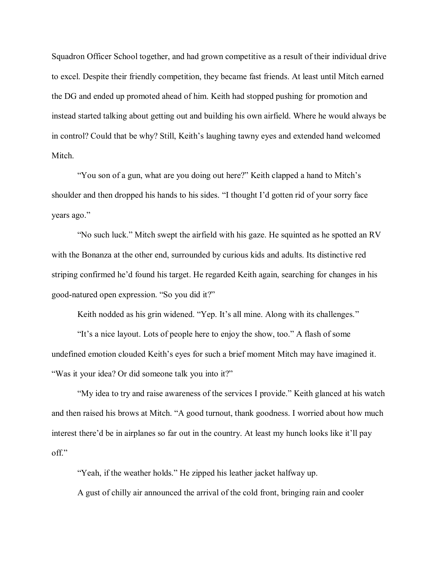Squadron Officer School together, and had grown competitive as a result of their individual drive to excel. Despite their friendly competition, they became fast friends. At least until Mitch earned the DG and ended up promoted ahead of him. Keith had stopped pushing for promotion and instead started talking about getting out and building his own airfield. Where he would always be in control? Could that be why? Still, Keith's laughing tawny eyes and extended hand welcomed Mitch.

"You son of a gun, what are you doing out here?" Keith clapped a hand to Mitch's shoulder and then dropped his hands to his sides. "I thought I'd gotten rid of your sorry face years ago."

"No such luck." Mitch swept the airfield with his gaze. He squinted as he spotted an RV with the Bonanza at the other end, surrounded by curious kids and adults. Its distinctive red striping confirmed he'd found his target. He regarded Keith again, searching for changes in his good-natured open expression. "So you did it?"

Keith nodded as his grin widened. "Yep. It's all mine. Along with its challenges."

"It's a nice layout. Lots of people here to enjoy the show, too." A flash of some undefined emotion clouded Keith's eyes for such a brief moment Mitch may have imagined it. "Was it your idea? Or did someone talk you into it?"

"My idea to try and raise awareness of the services I provide." Keith glanced at his watch and then raised his brows at Mitch. "A good turnout, thank goodness. I worried about how much interest there'd be in airplanes so far out in the country. At least my hunch looks like it'll pay off."

"Yeah, if the weather holds." He zipped his leather jacket halfway up. A gust of chilly air announced the arrival of the cold front, bringing rain and cooler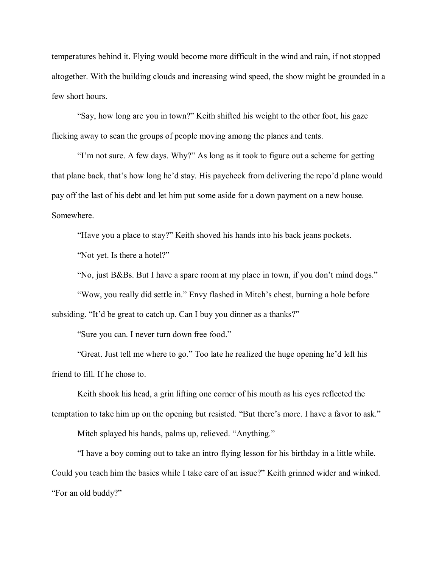temperatures behind it. Flying would become more difficult in the wind and rain, if not stopped altogether. With the building clouds and increasing wind speed, the show might be grounded in a few short hours.

"Say, how long are you in town?" Keith shifted his weight to the other foot, his gaze flicking away to scan the groups of people moving among the planes and tents.

"I'm not sure. A few days. Why?" As long as it took to figure out a scheme for getting that plane back, that's how long he'd stay. His paycheck from delivering the repo'd plane would pay off the last of his debt and let him put some aside for a down payment on a new house. Somewhere.

"Have you a place to stay?" Keith shoved his hands into his back jeans pockets.

"Not yet. Is there a hotel?"

"No, just B&Bs. But I have a spare room at my place in town, if you don't mind dogs."

"Wow, you really did settle in." Envy flashed in Mitch's chest, burning a hole before subsiding. "It'd be great to catch up. Can I buy you dinner as a thanks?"

"Sure you can. I never turn down free food."

"Great. Just tell me where to go." Too late he realized the huge opening he'd left his friend to fill. If he chose to.

Keith shook his head, a grin lifting one corner of his mouth as his eyes reflected the temptation to take him up on the opening but resisted. "But there's more. I have a favor to ask."

Mitch splayed his hands, palms up, relieved. "Anything."

"I have a boy coming out to take an intro flying lesson for his birthday in a little while. Could you teach him the basics while I take care of an issue?" Keith grinned wider and winked. "For an old buddy?"